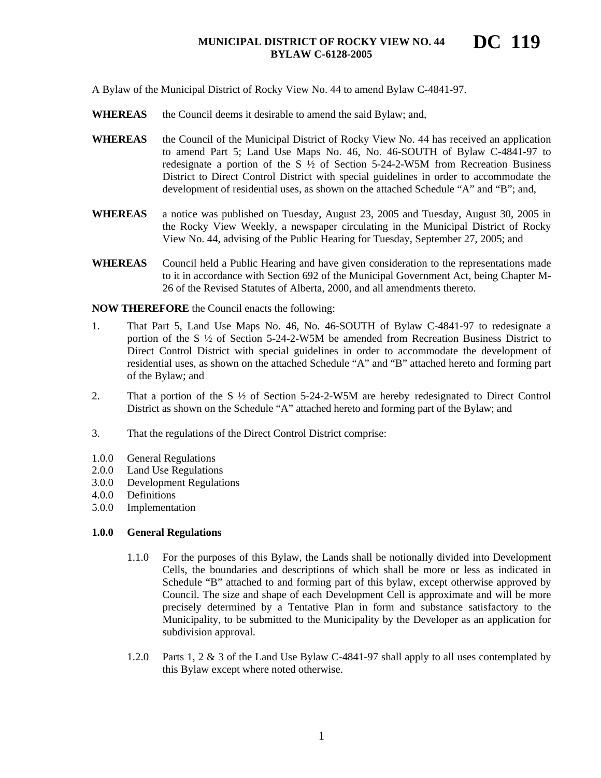A Bylaw of the Municipal District of Rocky View No. 44 to amend Bylaw C-4841-97.

- WHEREAS the Council deems it desirable to amend the said Bylaw; and,
- WHEREAS the Council of the Municipal District of Rocky View No. 44 has received an application to amend Part 5; Land Use Maps No. 46, No. 46-SOUTH of Bylaw C-4841-97 to redesignate a portion of the S  $\frac{1}{2}$  of Section 5-24-2-W5M from Recreation Business District to Direct Control District with special guidelines in order to accommodate the development of residential uses, as shown on the attached Schedule "A" and "B"; and,
- **WHEREAS** a notice was published on Tuesday, August 23, 2005 and Tuesday, August 30, 2005 in the Rocky View Weekly, a newspaper circulating in the Municipal District of Rocky View No. 44, advising of the Public Hearing for Tuesday, September 27, 2005; and
- **WHEREAS** Council held a Public Hearing and have given consideration to the representations made to it in accordance with Section 692 of the Municipal Government Act, being Chapter M-26 of the Revised Statutes of Alberta, 2000, and all amendments thereto.

**NOW THEREFORE** the Council enacts the following:

- 1. That Part 5, Land Use Maps No. 46, No. 46-SOUTH of Bylaw C-4841-97 to redesignate a portion of the S  $\frac{1}{2}$  of Section 5-24-2-W5M be amended from Recreation Business District to Direct Control District with special guidelines in order to accommodate the development of residential uses, as shown on the attached Schedule "A" and "B" attached hereto and forming part of the Bylaw; and
- 2. That a portion of the S ½ of Section 5-24-2-W5M are hereby redesignated to Direct Control District as shown on the Schedule "A" attached hereto and forming part of the Bylaw; and
- 3. That the regulations of the Direct Control District comprise:
- 1.0.0 General Regulations
- 2.0.0 Land Use Regulations
- 3.0.0 Development Regulations
- 4.0.0 Definitions
- 5.0.0 Implementation

#### **1.0.0 General Regulations**

- 1.1.0 For the purposes of this Bylaw, the Lands shall be notionally divided into Development Cells, the boundaries and descriptions of which shall be more or less as indicated in Schedule "B" attached to and forming part of this bylaw, except otherwise approved by Council. The size and shape of each Development Cell is approximate and will be more precisely determined by a Tentative Plan in form and substance satisfactory to the Municipality, to be submitted to the Municipality by the Developer as an application for subdivision approval.
- 1.2.0 Parts 1, 2 & 3 of the Land Use Bylaw C-4841-97 shall apply to all uses contemplated by this Bylaw except where noted otherwise.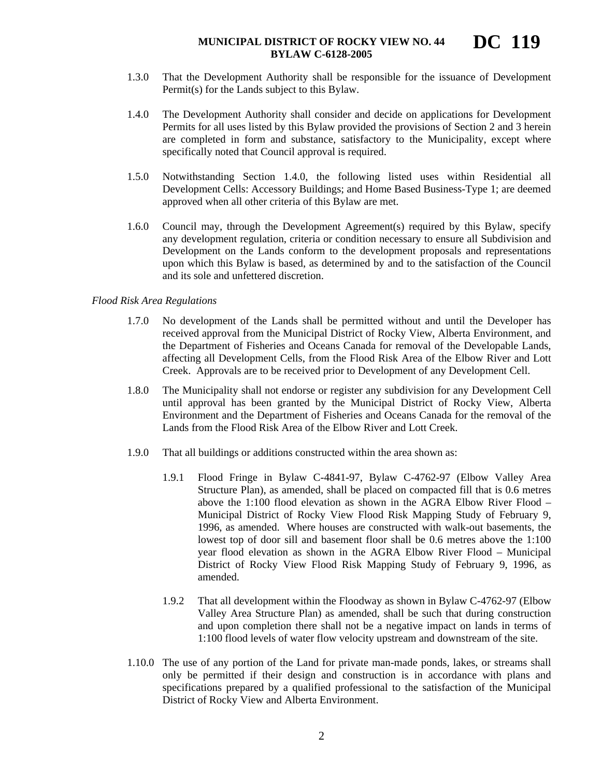- 1.3.0 That the Development Authority shall be responsible for the issuance of Development Permit(s) for the Lands subject to this Bylaw.
- 1.4.0 The Development Authority shall consider and decide on applications for Development Permits for all uses listed by this Bylaw provided the provisions of Section 2 and 3 herein are completed in form and substance, satisfactory to the Municipality, except where specifically noted that Council approval is required.
- 1.5.0 Notwithstanding Section 1.4.0, the following listed uses within Residential all Development Cells: Accessory Buildings; and Home Based Business-Type 1; are deemed approved when all other criteria of this Bylaw are met.
- 1.6.0 Council may, through the Development Agreement(s) required by this Bylaw, specify any development regulation, criteria or condition necessary to ensure all Subdivision and Development on the Lands conform to the development proposals and representations upon which this Bylaw is based, as determined by and to the satisfaction of the Council and its sole and unfettered discretion.

## *Flood Risk Area Regulations*

- 1.7.0 No development of the Lands shall be permitted without and until the Developer has received approval from the Municipal District of Rocky View, Alberta Environment, and the Department of Fisheries and Oceans Canada for removal of the Developable Lands, affecting all Development Cells, from the Flood Risk Area of the Elbow River and Lott Creek. Approvals are to be received prior to Development of any Development Cell.
- 1.8.0 The Municipality shall not endorse or register any subdivision for any Development Cell until approval has been granted by the Municipal District of Rocky View, Alberta Environment and the Department of Fisheries and Oceans Canada for the removal of the Lands from the Flood Risk Area of the Elbow River and Lott Creek.
- 1.9.0 That all buildings or additions constructed within the area shown as:
	- 1.9.1 Flood Fringe in Bylaw C-4841-97, Bylaw C-4762-97 (Elbow Valley Area Structure Plan), as amended, shall be placed on compacted fill that is 0.6 metres above the 1:100 flood elevation as shown in the AGRA Elbow River Flood – Municipal District of Rocky View Flood Risk Mapping Study of February 9, 1996, as amended. Where houses are constructed with walk-out basements, the lowest top of door sill and basement floor shall be 0.6 metres above the 1:100 year flood elevation as shown in the AGRA Elbow River Flood – Municipal District of Rocky View Flood Risk Mapping Study of February 9, 1996, as amended.
	- 1.9.2 That all development within the Floodway as shown in Bylaw C-4762-97 (Elbow Valley Area Structure Plan) as amended, shall be such that during construction and upon completion there shall not be a negative impact on lands in terms of 1:100 flood levels of water flow velocity upstream and downstream of the site.
- 1.10.0 The use of any portion of the Land for private man-made ponds, lakes, or streams shall only be permitted if their design and construction is in accordance with plans and specifications prepared by a qualified professional to the satisfaction of the Municipal District of Rocky View and Alberta Environment.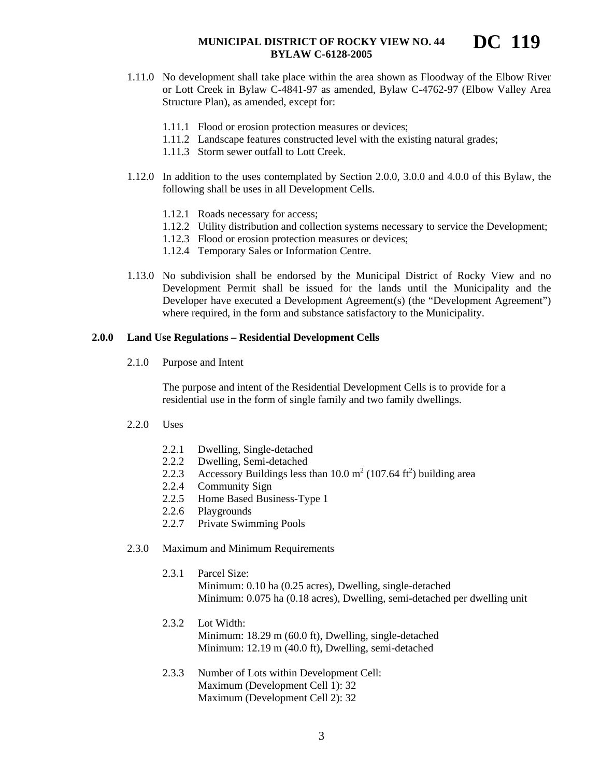- 1.11.0 No development shall take place within the area shown as Floodway of the Elbow River or Lott Creek in Bylaw C-4841-97 as amended, Bylaw C-4762-97 (Elbow Valley Area Structure Plan), as amended, except for:
	- 1.11.1 Flood or erosion protection measures or devices;
	- 1.11.2 Landscape features constructed level with the existing natural grades;
	- 1.11.3 Storm sewer outfall to Lott Creek.
- 1.12.0 In addition to the uses contemplated by Section 2.0.0, 3.0.0 and 4.0.0 of this Bylaw, the following shall be uses in all Development Cells.
	- 1.12.1 Roads necessary for access;
	- 1.12.2 Utility distribution and collection systems necessary to service the Development;
	- 1.12.3 Flood or erosion protection measures or devices;
	- 1.12.4 Temporary Sales or Information Centre.
- 1.13.0 No subdivision shall be endorsed by the Municipal District of Rocky View and no Development Permit shall be issued for the lands until the Municipality and the Developer have executed a Development Agreement(s) (the "Development Agreement") where required, in the form and substance satisfactory to the Municipality.

#### **2.0.0 Land Use Regulations – Residential Development Cells**

2.1.0 Purpose and Intent

The purpose and intent of the Residential Development Cells is to provide for a residential use in the form of single family and two family dwellings.

- 2.2.0 Uses
	- 2.2.1 Dwelling, Single-detached
	- 2.2.2 Dwelling, Semi-detached
	- 2.2.3 Accessory Buildings less than  $10.0 \text{ m}^2$  (107.64 ft<sup>2</sup>) building area
	- 2.2.4 Community Sign
	- 2.2.5 Home Based Business-Type 1
	- 2.2.6 Playgrounds
	- 2.2.7 Private Swimming Pools
- 2.3.0 Maximum and Minimum Requirements
	- 2.3.1 Parcel Size:

Minimum: 0.10 ha (0.25 acres), Dwelling, single-detached Minimum: 0.075 ha (0.18 acres), Dwelling, semi-detached per dwelling unit

- 2.3.2 Lot Width: Minimum: 18.29 m (60.0 ft), Dwelling, single-detached Minimum: 12.19 m (40.0 ft), Dwelling, semi-detached
- 2.3.3 Number of Lots within Development Cell: Maximum (Development Cell 1): 32 Maximum (Development Cell 2): 32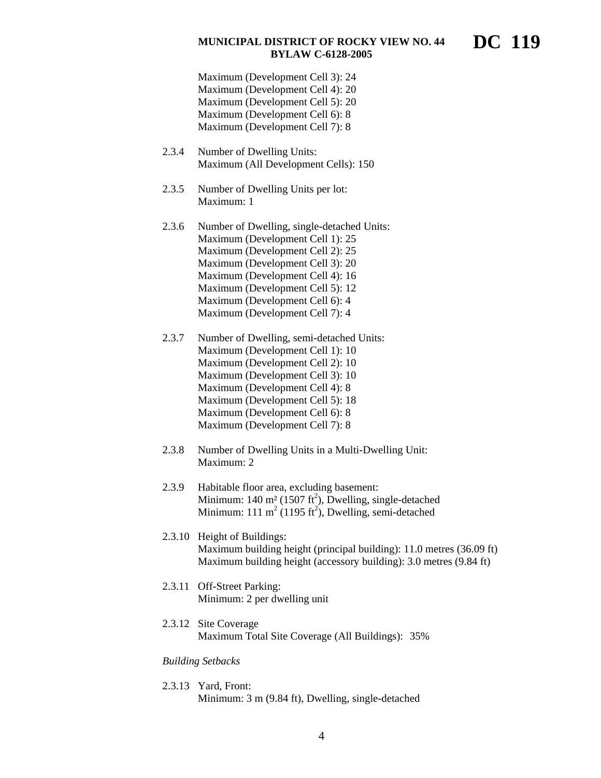**DC 119** 

Maximum (Development Cell 3): 24 Maximum (Development Cell 4): 20 Maximum (Development Cell 5): 20 Maximum (Development Cell 6): 8 Maximum (Development Cell 7): 8

- 2.3.4 Number of Dwelling Units: Maximum (All Development Cells): 150
- 2.3.5 Number of Dwelling Units per lot: Maximum: 1
- 2.3.6 Number of Dwelling, single-detached Units: Maximum (Development Cell 1): 25 Maximum (Development Cell 2): 25 Maximum (Development Cell 3): 20 Maximum (Development Cell 4): 16 Maximum (Development Cell 5): 12 Maximum (Development Cell 6): 4 Maximum (Development Cell 7): 4
- 2.3.7 Number of Dwelling, semi-detached Units: Maximum (Development Cell 1): 10 Maximum (Development Cell 2): 10 Maximum (Development Cell 3): 10 Maximum (Development Cell 4): 8 Maximum (Development Cell 5): 18 Maximum (Development Cell 6): 8 Maximum (Development Cell 7): 8
- 2.3.8 Number of Dwelling Units in a Multi-Dwelling Unit: Maximum: 2
- 2.3.9 Habitable floor area, excluding basement: Minimum:  $140 \text{ m}^2 (1507 \text{ ft}^2)$ , Dwelling, single-detached Minimum: 111 m<sup>2</sup> (1195 ft<sup>2</sup>), Dwelling, semi-detached
- 2.3.10 Height of Buildings: Maximum building height (principal building): 11.0 metres (36.09 ft) Maximum building height (accessory building): 3.0 metres (9.84 ft)
- 2.3.11 Off-Street Parking: Minimum: 2 per dwelling unit
- 2.3.12 Site Coverage Maximum Total Site Coverage (All Buildings): 35%

#### *Building Setbacks*

2.3.13 Yard, Front: Minimum: 3 m (9.84 ft), Dwelling, single-detached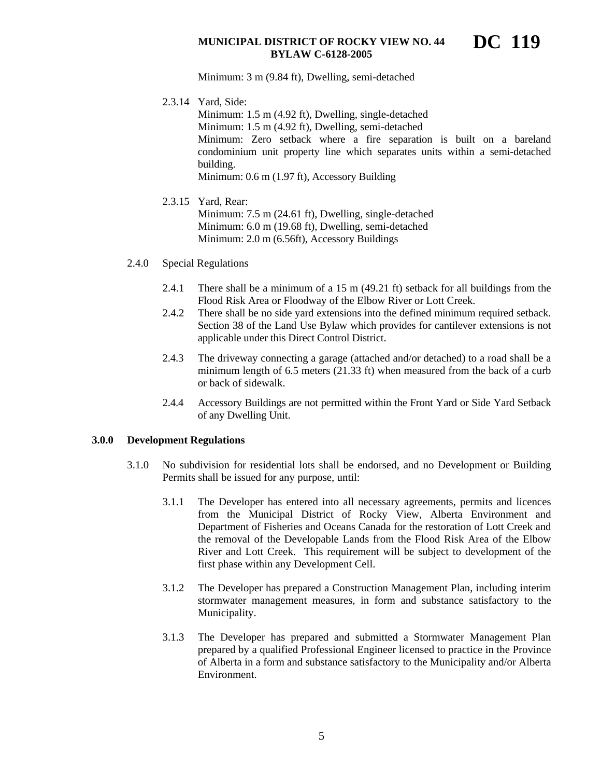**DC 119** 

Minimum: 3 m (9.84 ft), Dwelling, semi-detached

2.3.14 Yard, Side:

Minimum: 1.5 m (4.92 ft), Dwelling, single-detached Minimum: 1.5 m (4.92 ft), Dwelling, semi-detached Minimum: Zero setback where a fire separation is built on a bareland condominium unit property line which separates units within a semi-detached building. Minimum: 0.6 m (1.97 ft), Accessory Building

## 2.3.15 Yard, Rear:

Minimum: 7.5 m (24.61 ft), Dwelling, single-detached Minimum: 6.0 m (19.68 ft), Dwelling, semi-detached Minimum: 2.0 m (6.56ft), Accessory Buildings

- 2.4.0 Special Regulations
	- 2.4.1 There shall be a minimum of a 15 m (49.21 ft) setback for all buildings from the Flood Risk Area or Floodway of the Elbow River or Lott Creek.
	- 2.4.2 There shall be no side yard extensions into the defined minimum required setback. Section 38 of the Land Use Bylaw which provides for cantilever extensions is not applicable under this Direct Control District.
	- 2.4.3 The driveway connecting a garage (attached and/or detached) to a road shall be a minimum length of 6.5 meters (21.33 ft) when measured from the back of a curb or back of sidewalk.
	- 2.4.4 Accessory Buildings are not permitted within the Front Yard or Side Yard Setback of any Dwelling Unit.

## **3.0.0 Development Regulations**

- 3.1.0 No subdivision for residential lots shall be endorsed, and no Development or Building Permits shall be issued for any purpose, until:
	- 3.1.1 The Developer has entered into all necessary agreements, permits and licences from the Municipal District of Rocky View, Alberta Environment and Department of Fisheries and Oceans Canada for the restoration of Lott Creek and the removal of the Developable Lands from the Flood Risk Area of the Elbow River and Lott Creek. This requirement will be subject to development of the first phase within any Development Cell.
	- 3.1.2 The Developer has prepared a Construction Management Plan, including interim stormwater management measures, in form and substance satisfactory to the Municipality.
	- 3.1.3 The Developer has prepared and submitted a Stormwater Management Plan prepared by a qualified Professional Engineer licensed to practice in the Province of Alberta in a form and substance satisfactory to the Municipality and/or Alberta Environment.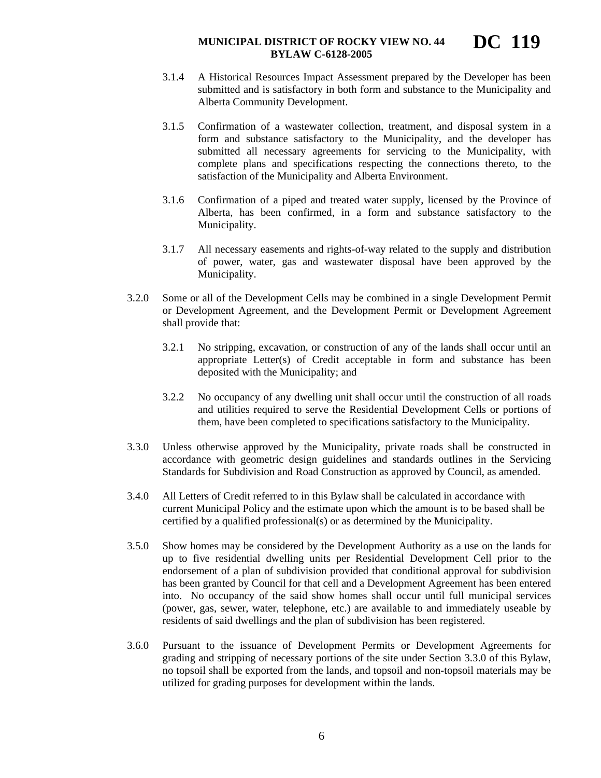- 3.1.4 A Historical Resources Impact Assessment prepared by the Developer has been submitted and is satisfactory in both form and substance to the Municipality and Alberta Community Development.
- 3.1.5 Confirmation of a wastewater collection, treatment, and disposal system in a form and substance satisfactory to the Municipality, and the developer has submitted all necessary agreements for servicing to the Municipality, with complete plans and specifications respecting the connections thereto, to the satisfaction of the Municipality and Alberta Environment.
- 3.1.6 Confirmation of a piped and treated water supply, licensed by the Province of Alberta, has been confirmed, in a form and substance satisfactory to the Municipality.
- 3.1.7 All necessary easements and rights-of-way related to the supply and distribution of power, water, gas and wastewater disposal have been approved by the Municipality.
- 3.2.0 Some or all of the Development Cells may be combined in a single Development Permit or Development Agreement, and the Development Permit or Development Agreement shall provide that:
	- 3.2.1 No stripping, excavation, or construction of any of the lands shall occur until an appropriate Letter(s) of Credit acceptable in form and substance has been deposited with the Municipality; and
	- 3.2.2 No occupancy of any dwelling unit shall occur until the construction of all roads and utilities required to serve the Residential Development Cells or portions of them, have been completed to specifications satisfactory to the Municipality.
- 3.3.0 Unless otherwise approved by the Municipality, private roads shall be constructed in accordance with geometric design guidelines and standards outlines in the Servicing Standards for Subdivision and Road Construction as approved by Council, as amended.
- 3.4.0 All Letters of Credit referred to in this Bylaw shall be calculated in accordance with current Municipal Policy and the estimate upon which the amount is to be based shall be certified by a qualified professional(s) or as determined by the Municipality.
- 3.5.0 Show homes may be considered by the Development Authority as a use on the lands for up to five residential dwelling units per Residential Development Cell prior to the endorsement of a plan of subdivision provided that conditional approval for subdivision has been granted by Council for that cell and a Development Agreement has been entered into. No occupancy of the said show homes shall occur until full municipal services (power, gas, sewer, water, telephone, etc.) are available to and immediately useable by residents of said dwellings and the plan of subdivision has been registered.
- 3.6.0 Pursuant to the issuance of Development Permits or Development Agreements for grading and stripping of necessary portions of the site under Section 3.3.0 of this Bylaw, no topsoil shall be exported from the lands, and topsoil and non-topsoil materials may be utilized for grading purposes for development within the lands.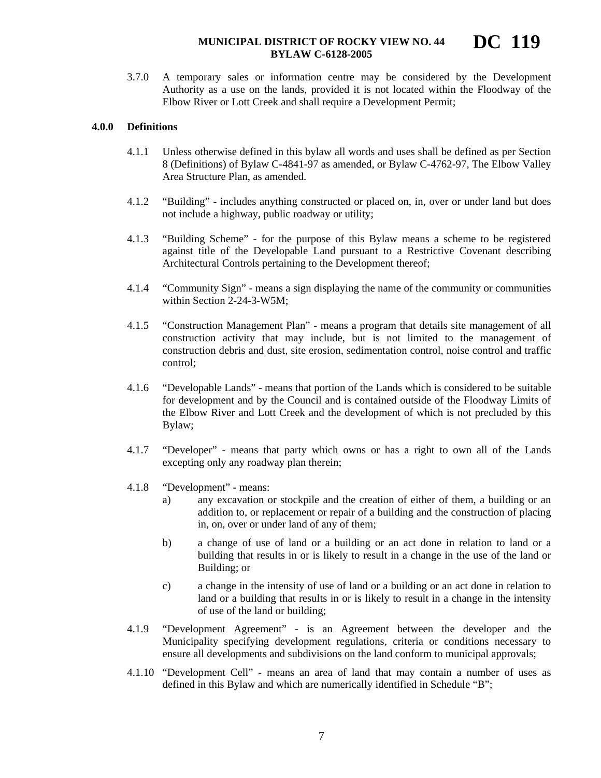3.7.0 A temporary sales or information centre may be considered by the Development Authority as a use on the lands, provided it is not located within the Floodway of the Elbow River or Lott Creek and shall require a Development Permit;

## **4.0.0 Definitions**

- 4.1.1 Unless otherwise defined in this bylaw all words and uses shall be defined as per Section 8 (Definitions) of Bylaw C-4841-97 as amended, or Bylaw C-4762-97, The Elbow Valley Area Structure Plan, as amended.
- 4.1.2 "Building" includes anything constructed or placed on, in, over or under land but does not include a highway, public roadway or utility;
- 4.1.3 "Building Scheme" for the purpose of this Bylaw means a scheme to be registered against title of the Developable Land pursuant to a Restrictive Covenant describing Architectural Controls pertaining to the Development thereof;
- 4.1.4 "Community Sign" means a sign displaying the name of the community or communities within Section 2-24-3-W5M;
- 4.1.5 "Construction Management Plan" means a program that details site management of all construction activity that may include, but is not limited to the management of construction debris and dust, site erosion, sedimentation control, noise control and traffic control;
- 4.1.6 "Developable Lands" means that portion of the Lands which is considered to be suitable for development and by the Council and is contained outside of the Floodway Limits of the Elbow River and Lott Creek and the development of which is not precluded by this Bylaw;
- 4.1.7 "Developer" means that party which owns or has a right to own all of the Lands excepting only any roadway plan therein;
- 4.1.8 "Development" means:
	- a) any excavation or stockpile and the creation of either of them, a building or an addition to, or replacement or repair of a building and the construction of placing in, on, over or under land of any of them;
	- b) a change of use of land or a building or an act done in relation to land or a building that results in or is likely to result in a change in the use of the land or Building; or
	- c) a change in the intensity of use of land or a building or an act done in relation to land or a building that results in or is likely to result in a change in the intensity of use of the land or building;
- 4.1.9 "Development Agreement" is an Agreement between the developer and the Municipality specifying development regulations, criteria or conditions necessary to ensure all developments and subdivisions on the land conform to municipal approvals;
- 4.1.10 "Development Cell" means an area of land that may contain a number of uses as defined in this Bylaw and which are numerically identified in Schedule "B";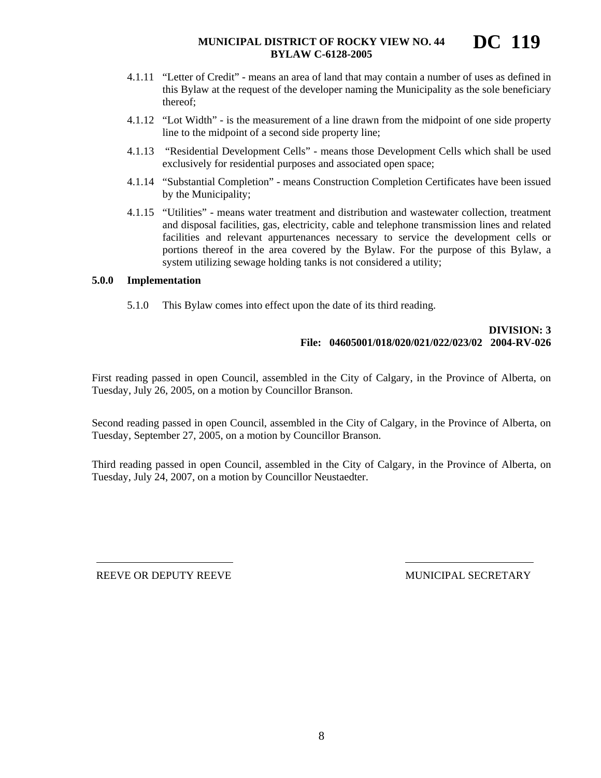- 4.1.11 "Letter of Credit" means an area of land that may contain a number of uses as defined in this Bylaw at the request of the developer naming the Municipality as the sole beneficiary thereof;
- 4.1.12 "Lot Width" is the measurement of a line drawn from the midpoint of one side property line to the midpoint of a second side property line;
- 4.1.13 "Residential Development Cells" means those Development Cells which shall be used exclusively for residential purposes and associated open space;
- 4.1.14 "Substantial Completion" means Construction Completion Certificates have been issued by the Municipality;
- 4.1.15 "Utilities" means water treatment and distribution and wastewater collection, treatment and disposal facilities, gas, electricity, cable and telephone transmission lines and related facilities and relevant appurtenances necessary to service the development cells or portions thereof in the area covered by the Bylaw. For the purpose of this Bylaw, a system utilizing sewage holding tanks is not considered a utility;

# **5.0.0 Implementation**

5.1.0 This Bylaw comes into effect upon the date of its third reading.

# **DIVISION: 3 File: 04605001/018/020/021/022/023/02 2004-RV-026**

First reading passed in open Council, assembled in the City of Calgary, in the Province of Alberta, on Tuesday, July 26, 2005, on a motion by Councillor Branson.

Second reading passed in open Council, assembled in the City of Calgary, in the Province of Alberta, on Tuesday, September 27, 2005, on a motion by Councillor Branson.

Third reading passed in open Council, assembled in the City of Calgary, in the Province of Alberta, on Tuesday, July 24, 2007, on a motion by Councillor Neustaedter.

REEVE OR DEPUTY REEVE MUNICIPAL SECRETARY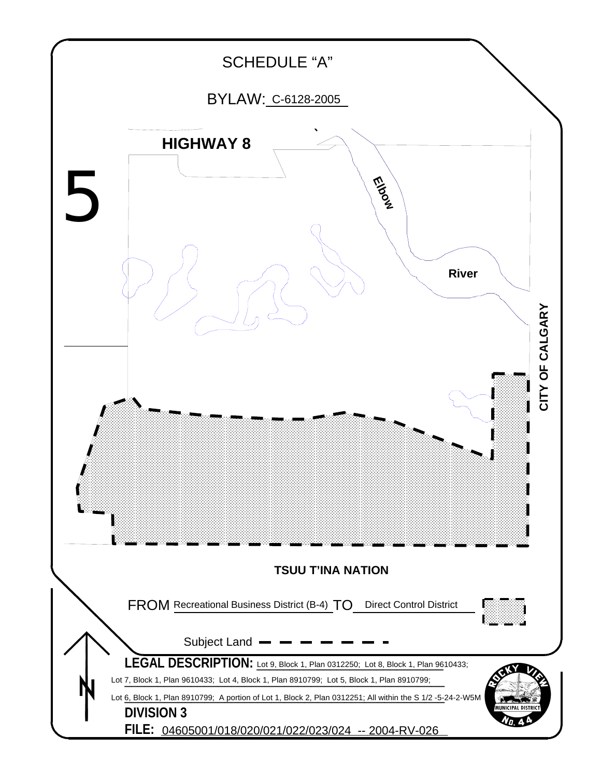